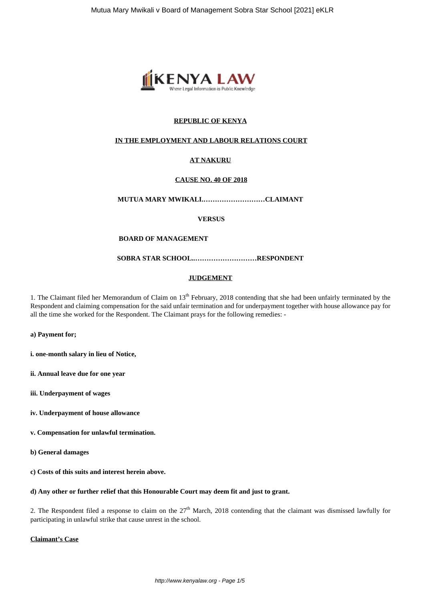

# **REPUBLIC OF KENYA**

## **IN THE EMPLOYMENT AND LABOUR RELATIONS COURT**

# **AT NAKURU**

# **CAUSE NO. 40 OF 2018**

# **MUTUA MARY MWIKALI.………………………CLAIMANT**

## **VERSUS**

## **BOARD OF MANAGEMENT**

## **SOBRA STAR SCHOOL..………………………RESPONDENT**

## **JUDGEMENT**

1. The Claimant filed her Memorandum of Claim on 13<sup>th</sup> February, 2018 contending that she had been unfairly terminated by the Respondent and claiming compensation for the said unfair termination and for underpayment together with house allowance pay for all the time she worked for the Respondent. The Claimant prays for the following remedies: -

### **a) Payment for;**

**i. one-month salary in lieu of Notice,**

- **ii. Annual leave due for one year**
- **iii. Underpayment of wages**
- **iv. Underpayment of house allowance**
- **v. Compensation for unlawful termination.**
- **b) General damages**
- **c) Costs of this suits and interest herein above.**

# **d) Any other or further relief that this Honourable Court may deem fit and just to grant.**

2. The Respondent filed a response to claim on the  $27<sup>th</sup>$  March, 2018 contending that the claimant was dismissed lawfully for participating in unlawful strike that cause unrest in the school.

### **Claimant's Case**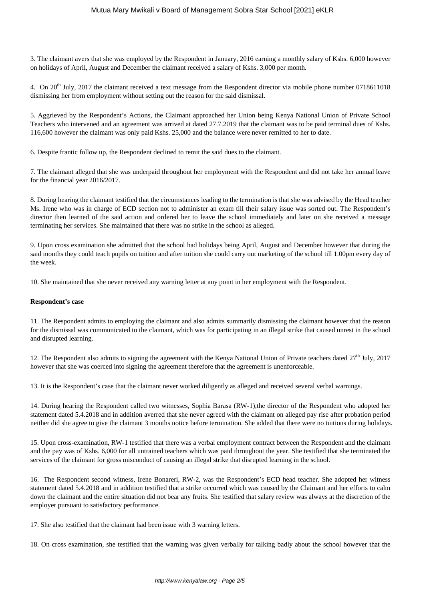3. The claimant avers that she was employed by the Respondent in January, 2016 earning a monthly salary of Kshs. 6,000 however on holidays of April, August and December the claimant received a salary of Kshs. 3,000 per month.

4. On  $20^{th}$  July, 2017 the claimant received a text message from the Respondent director via mobile phone number 0718611018 dismissing her from employment without setting out the reason for the said dismissal.

5. Aggrieved by the Respondent's Actions, the Claimant approached her Union being Kenya National Union of Private School Teachers who intervened and an agreement was arrived at dated 27.7.2019 that the claimant was to be paid terminal dues of Kshs. 116,600 however the claimant was only paid Kshs. 25,000 and the balance were never remitted to her to date.

6. Despite frantic follow up, the Respondent declined to remit the said dues to the claimant.

7. The claimant alleged that she was underpaid throughout her employment with the Respondent and did not take her annual leave for the financial year 2016/2017.

8. During hearing the claimant testified that the circumstances leading to the termination is that she was advised by the Head teacher Ms. Irene who was in charge of ECD section not to administer an exam till their salary issue was sorted out. The Respondent's director then learned of the said action and ordered her to leave the school immediately and later on she received a message terminating her services. She maintained that there was no strike in the school as alleged.

9. Upon cross examination she admitted that the school had holidays being April, August and December however that during the said months they could teach pupils on tuition and after tuition she could carry out marketing of the school till 1.00pm every day of the week.

10. She maintained that she never received any warning letter at any point in her employment with the Respondent.

## **Respondent's case**

11. The Respondent admits to employing the claimant and also admits summarily dismissing the claimant however that the reason for the dismissal was communicated to the claimant, which was for participating in an illegal strike that caused unrest in the school and disrupted learning.

12. The Respondent also admits to signing the agreement with the Kenya National Union of Private teachers dated  $27<sup>th</sup>$  July,  $2017$ however that she was coerced into signing the agreement therefore that the agreement is unenforceable.

13. It is the Respondent's case that the claimant never worked diligently as alleged and received several verbal warnings.

14. During hearing the Respondent called two witnesses, Sophia Barasa (RW-1),the director of the Respondent who adopted her statement dated 5.4.2018 and in addition averred that she never agreed with the claimant on alleged pay rise after probation period neither did she agree to give the claimant 3 months notice before termination. She added that there were no tuitions during holidays.

15. Upon cross-examination, RW-1 testified that there was a verbal employment contract between the Respondent and the claimant and the pay was of Kshs. 6,000 for all untrained teachers which was paid throughout the year. She testified that she terminated the services of the claimant for gross misconduct of causing an illegal strike that disrupted learning in the school.

16. The Respondent second witness, Irene Bonareri, RW-2, was the Respondent's ECD head teacher. She adopted her witness statement dated 5.4.2018 and in addition testified that a strike occurred which was caused by the Claimant and her efforts to calm down the claimant and the entire situation did not bear any fruits. She testified that salary review was always at the discretion of the employer pursuant to satisfactory performance.

17. She also testified that the claimant had been issue with 3 warning letters.

18. On cross examination, she testified that the warning was given verbally for talking badly about the school however that the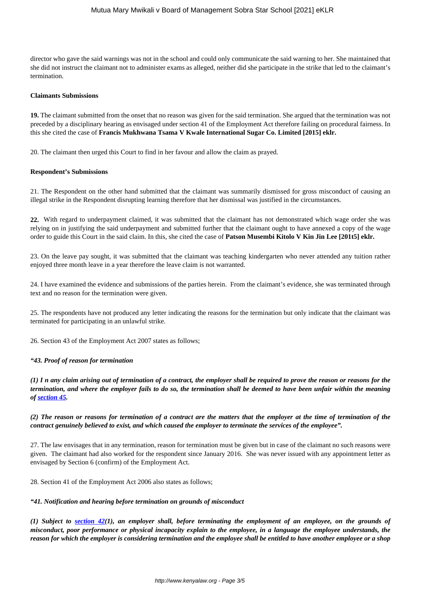director who gave the said warnings was not in the school and could only communicate the said warning to her. She maintained that she did not instruct the claimant not to administer exams as alleged, neither did she participate in the strike that led to the claimant's termination.

#### **Claimants Submissions**

**19.** The claimant submitted from the onset that no reason was given for the said termination. She argued that the termination was not preceded by a disciplinary hearing as envisaged under section 41 of the Employment Act therefore failing on procedural fairness. In this she cited the case of **Francis Mukhwana Tsama V Kwale International Sugar Co. Limited [2015] eklr.**

20. The claimant then urged this Court to find in her favour and allow the claim as prayed.

### **Respondent's Submissions**

21. The Respondent on the other hand submitted that the claimant was summarily dismissed for gross misconduct of causing an illegal strike in the Respondent disrupting learning therefore that her dismissal was justified in the circumstances.

**22.** With regard to underpayment claimed, it was submitted that the claimant has not demonstrated which wage order she was relying on in justifying the said underpayment and submitted further that the claimant ought to have annexed a copy of the wage order to guide this Court in the said claim. In this, she cited the case of **Patson Musembi Kitolo V Kin Jin Lee [201t5] eklr.**

23. On the leave pay sought, it was submitted that the claimant was teaching kindergarten who never attended any tuition rather enjoyed three month leave in a year therefore the leave claim is not warranted.

24. I have examined the evidence and submissions of the parties herein. From the claimant's evidence, she was terminated through text and no reason for the termination were given.

25. The respondents have not produced any letter indicating the reasons for the termination but only indicate that the claimant was terminated for participating in an unlawful strike.

26. Section 43 of the Employment Act 2007 states as follows;

### *"43. Proof of reason for termination*

*(1) I n any claim arising out of termination of a contract, the employer shall be required to prove the reason or reasons for the termination, and where the employer fails to do so, the termination shall be deemed to have been unfair within the meaning of [section 45.](http://kenyalaw.org:8181/exist/kenyalex/actview.xql"actid=No.%2011%20of%202007#KE/LEG/EN/AR/E/NO.%2011%20OF%202007/sec_45)*

## *(2) The reason or reasons for termination of a contract are the matters that the employer at the time of termination of the contract genuinely believed to exist, and which caused the employer to terminate the services of the employee".*

27. The law envisages that in any termination, reason for termination must be given but in case of the claimant no such reasons were given. The claimant had also worked for the respondent since January 2016. She was never issued with any appointment letter as envisaged by Section 6 (confirm) of the Employment Act.

28. Section 41 of the Employment Act 2006 also states as follows;

### *"41. Notification and hearing before termination on grounds of misconduct*

*(1) Subject to [section 42\(](http://kenyalaw.org:8181/exist/kenyalex/actview.xql"actid=No.%2011%20of%202007#KE/LEG/EN/AR/E/NO.%2011%20OF%202007/sec_42)1), an employer shall, before terminating the employment of an employee, on the grounds of misconduct, poor performance or physical incapacity explain to the employee, in a language the employee understands, the reason for which the employer is considering termination and the employee shall be entitled to have another employee or a shop*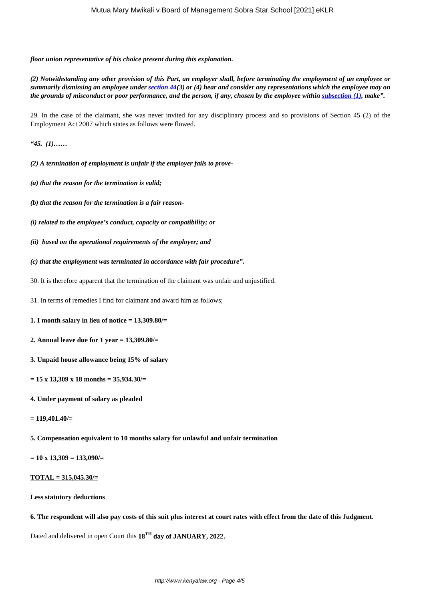*floor union representative of his choice present during this explanation.*

*(2) Notwithstanding any other provision of this Part, an employer shall, before terminating the employment of an employee or summarily dismissing an employee under [section 44\(](http://kenyalaw.org:8181/exist/kenyalex/actview.xql"actid=No.%2011%20of%202007#KE/LEG/EN/AR/E/NO.%2011%20OF%202007/sec_44)3) or (4) hear and consider any representations which the employee may on the grounds of misconduct or poor performance, and the person, if any, chosen by the employee within <i>subsection* (1)*, make*".

29. In the case of the claimant, she was never invited for any disciplinary process and so provisions of Section 45 (2) of the Employment Act 2007 which states as follows were flowed.

*"45. (1)……*

*(2) A termination of employment is unfair if the employer fails to prove-*

- *(a) that the reason for the termination is valid;*
- *(b) that the reason for the termination is a fair reason-*
- *(i) related to the employee's conduct, capacity or compatibility; or*
- *(ii) based on the operational requirements of the employer; and*
- *(c) that the employment was terminated in accordance with fair procedure".*
- 30. It is therefore apparent that the termination of the claimant was unfair and unjustified.

31. In terms of remedies I find for claimant and award him as follows;

- **1. I month salary in lieu of notice = 13,309.80/=**
- **2. Annual leave due for 1 year = 13,309.80/=**
- **3. Unpaid house allowance being 15% of salary**
- **= 15 x 13,309 x 18 months = 35,934.30/=**
- **4. Under payment of salary as pleaded**
- **= 119,401.40/=**

**5. Compensation equivalent to 10 months salary for unlawful and unfair termination**

**= 10 x 13,309 = 133,090/=**

## **TOTAL = 315,045.30/=**

### **Less statutory deductions**

**6. The respondent will also pay costs of this suit plus interest at court rates with effect from the date of this Judgment.**

Dated and delivered in open Court this **18TH day of JANUARY, 2022.**